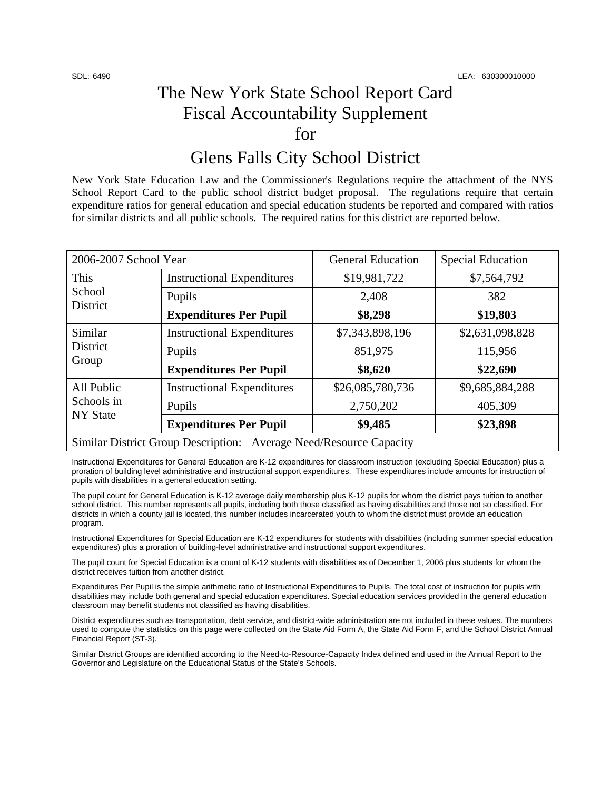## The New York State School Report Card Fiscal Accountability Supplement for

## Glens Falls City School District

New York State Education Law and the Commissioner's Regulations require the attachment of the NYS School Report Card to the public school district budget proposal. The regulations require that certain expenditure ratios for general education and special education students be reported and compared with ratios for similar districts and all public schools. The required ratios for this district are reported below.

| 2006-2007 School Year                                              |                                   | <b>General Education</b> | <b>Special Education</b> |  |
|--------------------------------------------------------------------|-----------------------------------|--------------------------|--------------------------|--|
| This<br>School<br>District                                         | <b>Instructional Expenditures</b> | \$19,981,722             | \$7,564,792              |  |
|                                                                    | Pupils                            | 2,408                    | 382                      |  |
|                                                                    | <b>Expenditures Per Pupil</b>     | \$8,298                  | \$19,803                 |  |
| Similar<br>District<br>Group                                       | <b>Instructional Expenditures</b> | \$7,343,898,196          | \$2,631,098,828          |  |
|                                                                    | Pupils                            | 851,975                  | 115,956                  |  |
|                                                                    | <b>Expenditures Per Pupil</b>     | \$8,620                  | \$22,690                 |  |
| All Public<br>Schools in<br><b>NY State</b>                        | <b>Instructional Expenditures</b> | \$26,085,780,736         | \$9,685,884,288          |  |
|                                                                    | Pupils                            | 2,750,202                | 405,309                  |  |
|                                                                    | <b>Expenditures Per Pupil</b>     | \$9,485                  | \$23,898                 |  |
| Similar District Group Description: Average Need/Resource Capacity |                                   |                          |                          |  |

Instructional Expenditures for General Education are K-12 expenditures for classroom instruction (excluding Special Education) plus a proration of building level administrative and instructional support expenditures. These expenditures include amounts for instruction of pupils with disabilities in a general education setting.

The pupil count for General Education is K-12 average daily membership plus K-12 pupils for whom the district pays tuition to another school district. This number represents all pupils, including both those classified as having disabilities and those not so classified. For districts in which a county jail is located, this number includes incarcerated youth to whom the district must provide an education program.

Instructional Expenditures for Special Education are K-12 expenditures for students with disabilities (including summer special education expenditures) plus a proration of building-level administrative and instructional support expenditures.

The pupil count for Special Education is a count of K-12 students with disabilities as of December 1, 2006 plus students for whom the district receives tuition from another district.

Expenditures Per Pupil is the simple arithmetic ratio of Instructional Expenditures to Pupils. The total cost of instruction for pupils with disabilities may include both general and special education expenditures. Special education services provided in the general education classroom may benefit students not classified as having disabilities.

District expenditures such as transportation, debt service, and district-wide administration are not included in these values. The numbers used to compute the statistics on this page were collected on the State Aid Form A, the State Aid Form F, and the School District Annual Financial Report (ST-3).

Similar District Groups are identified according to the Need-to-Resource-Capacity Index defined and used in the Annual Report to the Governor and Legislature on the Educational Status of the State's Schools.